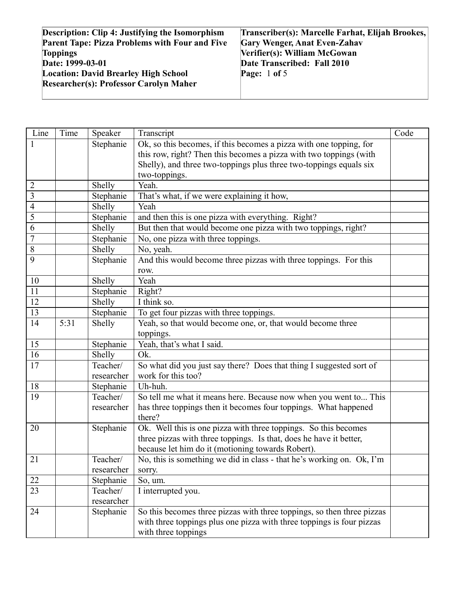| <b>Description: Clip 4: Justifying the Isomorphism</b> | Transcriber(s): Marcelle Farhat, Elijah Brookes, |
|--------------------------------------------------------|--------------------------------------------------|
| <b>Parent Tape: Pizza Problems with Four and Five</b>  | <b>Gary Wenger, Anat Even-Zahav</b>              |
| <b>Toppings</b>                                        | Verifier(s): William McGowan                     |
| Date: 1999-03-01                                       | Date Transcribed: Fall 2010                      |
| <b>Location: David Brearley High School</b>            | Page: $1$ of 5                                   |
| <b>Researcher(s): Professor Carolyn Maher</b>          |                                                  |
|                                                        |                                                  |

| Line            | Time | Speaker    | Transcript                                                             | Code |
|-----------------|------|------------|------------------------------------------------------------------------|------|
|                 |      | Stephanie  | Ok, so this becomes, if this becomes a pizza with one topping, for     |      |
|                 |      |            | this row, right? Then this becomes a pizza with two toppings (with     |      |
|                 |      |            | Shelly), and three two-toppings plus three two-toppings equals six     |      |
|                 |      |            | two-toppings.                                                          |      |
| 2               |      | Shelly     | Yeah.                                                                  |      |
| 3               |      | Stephanie  | That's what, if we were explaining it how,                             |      |
| $\overline{4}$  |      | Shelly     | Yeah                                                                   |      |
| 5               |      | Stephanie  | and then this is one pizza with everything. Right?                     |      |
| 6               |      | Shelly     | But then that would become one pizza with two toppings, right?         |      |
| $\overline{7}$  |      | Stephanie  | No, one pizza with three toppings.                                     |      |
| 8               |      | Shelly     | No, yeah.                                                              |      |
| 9               |      | Stephanie  | And this would become three pizzas with three toppings. For this       |      |
|                 |      |            | row.                                                                   |      |
| 10              |      | Shelly     | Yeah                                                                   |      |
| 11              |      | Stephanie  | Right?                                                                 |      |
| 12              |      | Shelly     | I think so.                                                            |      |
| 13              |      | Stephanie  | To get four pizzas with three toppings.                                |      |
| 14              | 5:31 | Shelly     | Yeah, so that would become one, or, that would become three            |      |
|                 |      |            | toppings.                                                              |      |
| 15              |      | Stephanie  | Yeah, that's what I said.                                              |      |
| 16              |      | Shelly     | Ok.                                                                    |      |
| 17              |      | Teacher/   | So what did you just say there? Does that thing I suggested sort of    |      |
|                 |      | researcher | work for this too?                                                     |      |
| 18              |      | Stephanie  | Uh-huh.                                                                |      |
| 19              |      | Teacher/   | So tell me what it means here. Because now when you went to This       |      |
|                 |      | researcher | has three toppings then it becomes four toppings. What happened        |      |
|                 |      |            | there?                                                                 |      |
| 20              |      | Stephanie  | Ok. Well this is one pizza with three toppings. So this becomes        |      |
|                 |      |            | three pizzas with three toppings. Is that, does he have it better,     |      |
|                 |      |            | because let him do it (motioning towards Robert).                      |      |
| 21              |      | Teacher/   | No, this is something we did in class - that he's working on. Ok, I'm  |      |
|                 |      | researcher | sorry.                                                                 |      |
| 22              |      | Stephanie  | So, um.                                                                |      |
| $\overline{23}$ |      | Teacher/   | I interrupted you.                                                     |      |
|                 |      | researcher |                                                                        |      |
| 24              |      | Stephanie  | So this becomes three pizzas with three toppings, so then three pizzas |      |
|                 |      |            | with three toppings plus one pizza with three toppings is four pizzas  |      |
|                 |      |            | with three toppings                                                    |      |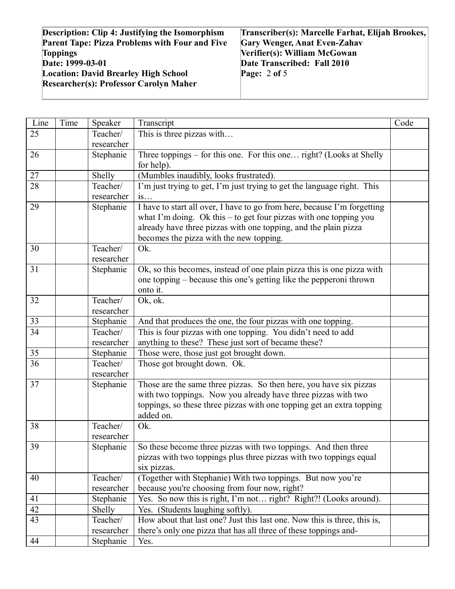| <b>Description: Clip 4: Justifying the Isomorphism</b> | Transcriber(s): Marcelle Farhat, Elijah Brookes, |
|--------------------------------------------------------|--------------------------------------------------|
| <b>Parent Tape: Pizza Problems with Four and Five</b>  | <b>Gary Wenger, Anat Even-Zahav</b>              |
| <b>Toppings</b>                                        | Verifier(s): William McGowan                     |
| Date: 1999-03-01                                       | Date Transcribed: Fall 2010                      |
| <b>Location: David Brearley High School</b>            | Page: $2$ of 5                                   |
| <b>Researcher(s): Professor Carolyn Maher</b>          |                                                  |
|                                                        |                                                  |

| 25<br>Teacher/<br>researcher<br>Three toppings – for this one. For this one right? (Looks at Shelly<br>26<br>Stephanie<br>for help).<br>27<br>(Mumbles inaudibly, looks frustrated).<br>Shelly<br>28<br>I'm just trying to get, I'm just trying to get the language right. This<br>Teacher/<br>researcher<br>is<br>29<br>Stephanie<br>I have to start all over, I have to go from here, because I'm forgetting<br>what I'm doing. Ok this - to get four pizzas with one topping you<br>already have three pizzas with one topping, and the plain pizza<br>becomes the pizza with the new topping.<br>30<br>Teacher/<br>Ok.<br>researcher<br>Ok, so this becomes, instead of one plain pizza this is one pizza with<br>31<br>Stephanie<br>one topping – because this one's getting like the pepperoni thrown<br>onto it.<br>32<br>Teacher/<br>Ok, ok.<br>researcher<br>33<br>Stephanie<br>And that produces the one, the four pizzas with one topping.<br>This is four pizzas with one topping. You didn't need to add<br>34<br>Teacher/<br>anything to these? These just sort of became these?<br>researcher<br>35<br>Those were, those just got brought down.<br>Stephanie<br>36<br>Those got brought down. Ok.<br>Teacher/<br>researcher<br>37<br>Stephanie<br>Those are the same three pizzas. So then here, you have six pizzas<br>with two toppings. Now you already have three pizzas with two<br>toppings, so these three pizzas with one topping get an extra topping<br>added on.<br>38<br>Ok.<br>Teacher/<br>researcher<br>39<br>So these become three pizzas with two toppings. And then three<br>Stephanie<br>pizzas with two toppings plus three pizzas with two toppings equal<br>six pizzas.<br>(Together with Stephanie) With two toppings. But now you're<br>Teacher/<br>40<br>because you're choosing from four now, right?<br>researcher<br>Yes. So now this is right, I'm not right? Right?! (Looks around).<br>41<br>Stephanie<br>42<br>Yes. (Students laughing softly).<br>Shelly<br>43<br>Teacher/<br>How about that last one? Just this last one. Now this is three, this is,<br>there's only one pizza that has all three of these toppings and-<br>researcher<br>Stephanie<br>44<br>Yes. | Line | Time | Speaker | Transcript                | Code |
|--------------------------------------------------------------------------------------------------------------------------------------------------------------------------------------------------------------------------------------------------------------------------------------------------------------------------------------------------------------------------------------------------------------------------------------------------------------------------------------------------------------------------------------------------------------------------------------------------------------------------------------------------------------------------------------------------------------------------------------------------------------------------------------------------------------------------------------------------------------------------------------------------------------------------------------------------------------------------------------------------------------------------------------------------------------------------------------------------------------------------------------------------------------------------------------------------------------------------------------------------------------------------------------------------------------------------------------------------------------------------------------------------------------------------------------------------------------------------------------------------------------------------------------------------------------------------------------------------------------------------------------------------------------------------------------------------------------------------------------------------------------------------------------------------------------------------------------------------------------------------------------------------------------------------------------------------------------------------------------------------------------------------------------------------------------------------------------------------------------------------------------------------------------------------------------------------------------------|------|------|---------|---------------------------|------|
|                                                                                                                                                                                                                                                                                                                                                                                                                                                                                                                                                                                                                                                                                                                                                                                                                                                                                                                                                                                                                                                                                                                                                                                                                                                                                                                                                                                                                                                                                                                                                                                                                                                                                                                                                                                                                                                                                                                                                                                                                                                                                                                                                                                                                    |      |      |         | This is three pizzas with |      |
|                                                                                                                                                                                                                                                                                                                                                                                                                                                                                                                                                                                                                                                                                                                                                                                                                                                                                                                                                                                                                                                                                                                                                                                                                                                                                                                                                                                                                                                                                                                                                                                                                                                                                                                                                                                                                                                                                                                                                                                                                                                                                                                                                                                                                    |      |      |         |                           |      |
|                                                                                                                                                                                                                                                                                                                                                                                                                                                                                                                                                                                                                                                                                                                                                                                                                                                                                                                                                                                                                                                                                                                                                                                                                                                                                                                                                                                                                                                                                                                                                                                                                                                                                                                                                                                                                                                                                                                                                                                                                                                                                                                                                                                                                    |      |      |         |                           |      |
|                                                                                                                                                                                                                                                                                                                                                                                                                                                                                                                                                                                                                                                                                                                                                                                                                                                                                                                                                                                                                                                                                                                                                                                                                                                                                                                                                                                                                                                                                                                                                                                                                                                                                                                                                                                                                                                                                                                                                                                                                                                                                                                                                                                                                    |      |      |         |                           |      |
|                                                                                                                                                                                                                                                                                                                                                                                                                                                                                                                                                                                                                                                                                                                                                                                                                                                                                                                                                                                                                                                                                                                                                                                                                                                                                                                                                                                                                                                                                                                                                                                                                                                                                                                                                                                                                                                                                                                                                                                                                                                                                                                                                                                                                    |      |      |         |                           |      |
|                                                                                                                                                                                                                                                                                                                                                                                                                                                                                                                                                                                                                                                                                                                                                                                                                                                                                                                                                                                                                                                                                                                                                                                                                                                                                                                                                                                                                                                                                                                                                                                                                                                                                                                                                                                                                                                                                                                                                                                                                                                                                                                                                                                                                    |      |      |         |                           |      |
|                                                                                                                                                                                                                                                                                                                                                                                                                                                                                                                                                                                                                                                                                                                                                                                                                                                                                                                                                                                                                                                                                                                                                                                                                                                                                                                                                                                                                                                                                                                                                                                                                                                                                                                                                                                                                                                                                                                                                                                                                                                                                                                                                                                                                    |      |      |         |                           |      |
|                                                                                                                                                                                                                                                                                                                                                                                                                                                                                                                                                                                                                                                                                                                                                                                                                                                                                                                                                                                                                                                                                                                                                                                                                                                                                                                                                                                                                                                                                                                                                                                                                                                                                                                                                                                                                                                                                                                                                                                                                                                                                                                                                                                                                    |      |      |         |                           |      |
|                                                                                                                                                                                                                                                                                                                                                                                                                                                                                                                                                                                                                                                                                                                                                                                                                                                                                                                                                                                                                                                                                                                                                                                                                                                                                                                                                                                                                                                                                                                                                                                                                                                                                                                                                                                                                                                                                                                                                                                                                                                                                                                                                                                                                    |      |      |         |                           |      |
|                                                                                                                                                                                                                                                                                                                                                                                                                                                                                                                                                                                                                                                                                                                                                                                                                                                                                                                                                                                                                                                                                                                                                                                                                                                                                                                                                                                                                                                                                                                                                                                                                                                                                                                                                                                                                                                                                                                                                                                                                                                                                                                                                                                                                    |      |      |         |                           |      |
|                                                                                                                                                                                                                                                                                                                                                                                                                                                                                                                                                                                                                                                                                                                                                                                                                                                                                                                                                                                                                                                                                                                                                                                                                                                                                                                                                                                                                                                                                                                                                                                                                                                                                                                                                                                                                                                                                                                                                                                                                                                                                                                                                                                                                    |      |      |         |                           |      |
|                                                                                                                                                                                                                                                                                                                                                                                                                                                                                                                                                                                                                                                                                                                                                                                                                                                                                                                                                                                                                                                                                                                                                                                                                                                                                                                                                                                                                                                                                                                                                                                                                                                                                                                                                                                                                                                                                                                                                                                                                                                                                                                                                                                                                    |      |      |         |                           |      |
|                                                                                                                                                                                                                                                                                                                                                                                                                                                                                                                                                                                                                                                                                                                                                                                                                                                                                                                                                                                                                                                                                                                                                                                                                                                                                                                                                                                                                                                                                                                                                                                                                                                                                                                                                                                                                                                                                                                                                                                                                                                                                                                                                                                                                    |      |      |         |                           |      |
|                                                                                                                                                                                                                                                                                                                                                                                                                                                                                                                                                                                                                                                                                                                                                                                                                                                                                                                                                                                                                                                                                                                                                                                                                                                                                                                                                                                                                                                                                                                                                                                                                                                                                                                                                                                                                                                                                                                                                                                                                                                                                                                                                                                                                    |      |      |         |                           |      |
|                                                                                                                                                                                                                                                                                                                                                                                                                                                                                                                                                                                                                                                                                                                                                                                                                                                                                                                                                                                                                                                                                                                                                                                                                                                                                                                                                                                                                                                                                                                                                                                                                                                                                                                                                                                                                                                                                                                                                                                                                                                                                                                                                                                                                    |      |      |         |                           |      |
|                                                                                                                                                                                                                                                                                                                                                                                                                                                                                                                                                                                                                                                                                                                                                                                                                                                                                                                                                                                                                                                                                                                                                                                                                                                                                                                                                                                                                                                                                                                                                                                                                                                                                                                                                                                                                                                                                                                                                                                                                                                                                                                                                                                                                    |      |      |         |                           |      |
|                                                                                                                                                                                                                                                                                                                                                                                                                                                                                                                                                                                                                                                                                                                                                                                                                                                                                                                                                                                                                                                                                                                                                                                                                                                                                                                                                                                                                                                                                                                                                                                                                                                                                                                                                                                                                                                                                                                                                                                                                                                                                                                                                                                                                    |      |      |         |                           |      |
|                                                                                                                                                                                                                                                                                                                                                                                                                                                                                                                                                                                                                                                                                                                                                                                                                                                                                                                                                                                                                                                                                                                                                                                                                                                                                                                                                                                                                                                                                                                                                                                                                                                                                                                                                                                                                                                                                                                                                                                                                                                                                                                                                                                                                    |      |      |         |                           |      |
|                                                                                                                                                                                                                                                                                                                                                                                                                                                                                                                                                                                                                                                                                                                                                                                                                                                                                                                                                                                                                                                                                                                                                                                                                                                                                                                                                                                                                                                                                                                                                                                                                                                                                                                                                                                                                                                                                                                                                                                                                                                                                                                                                                                                                    |      |      |         |                           |      |
|                                                                                                                                                                                                                                                                                                                                                                                                                                                                                                                                                                                                                                                                                                                                                                                                                                                                                                                                                                                                                                                                                                                                                                                                                                                                                                                                                                                                                                                                                                                                                                                                                                                                                                                                                                                                                                                                                                                                                                                                                                                                                                                                                                                                                    |      |      |         |                           |      |
|                                                                                                                                                                                                                                                                                                                                                                                                                                                                                                                                                                                                                                                                                                                                                                                                                                                                                                                                                                                                                                                                                                                                                                                                                                                                                                                                                                                                                                                                                                                                                                                                                                                                                                                                                                                                                                                                                                                                                                                                                                                                                                                                                                                                                    |      |      |         |                           |      |
|                                                                                                                                                                                                                                                                                                                                                                                                                                                                                                                                                                                                                                                                                                                                                                                                                                                                                                                                                                                                                                                                                                                                                                                                                                                                                                                                                                                                                                                                                                                                                                                                                                                                                                                                                                                                                                                                                                                                                                                                                                                                                                                                                                                                                    |      |      |         |                           |      |
|                                                                                                                                                                                                                                                                                                                                                                                                                                                                                                                                                                                                                                                                                                                                                                                                                                                                                                                                                                                                                                                                                                                                                                                                                                                                                                                                                                                                                                                                                                                                                                                                                                                                                                                                                                                                                                                                                                                                                                                                                                                                                                                                                                                                                    |      |      |         |                           |      |
|                                                                                                                                                                                                                                                                                                                                                                                                                                                                                                                                                                                                                                                                                                                                                                                                                                                                                                                                                                                                                                                                                                                                                                                                                                                                                                                                                                                                                                                                                                                                                                                                                                                                                                                                                                                                                                                                                                                                                                                                                                                                                                                                                                                                                    |      |      |         |                           |      |
|                                                                                                                                                                                                                                                                                                                                                                                                                                                                                                                                                                                                                                                                                                                                                                                                                                                                                                                                                                                                                                                                                                                                                                                                                                                                                                                                                                                                                                                                                                                                                                                                                                                                                                                                                                                                                                                                                                                                                                                                                                                                                                                                                                                                                    |      |      |         |                           |      |
|                                                                                                                                                                                                                                                                                                                                                                                                                                                                                                                                                                                                                                                                                                                                                                                                                                                                                                                                                                                                                                                                                                                                                                                                                                                                                                                                                                                                                                                                                                                                                                                                                                                                                                                                                                                                                                                                                                                                                                                                                                                                                                                                                                                                                    |      |      |         |                           |      |
|                                                                                                                                                                                                                                                                                                                                                                                                                                                                                                                                                                                                                                                                                                                                                                                                                                                                                                                                                                                                                                                                                                                                                                                                                                                                                                                                                                                                                                                                                                                                                                                                                                                                                                                                                                                                                                                                                                                                                                                                                                                                                                                                                                                                                    |      |      |         |                           |      |
|                                                                                                                                                                                                                                                                                                                                                                                                                                                                                                                                                                                                                                                                                                                                                                                                                                                                                                                                                                                                                                                                                                                                                                                                                                                                                                                                                                                                                                                                                                                                                                                                                                                                                                                                                                                                                                                                                                                                                                                                                                                                                                                                                                                                                    |      |      |         |                           |      |
|                                                                                                                                                                                                                                                                                                                                                                                                                                                                                                                                                                                                                                                                                                                                                                                                                                                                                                                                                                                                                                                                                                                                                                                                                                                                                                                                                                                                                                                                                                                                                                                                                                                                                                                                                                                                                                                                                                                                                                                                                                                                                                                                                                                                                    |      |      |         |                           |      |
|                                                                                                                                                                                                                                                                                                                                                                                                                                                                                                                                                                                                                                                                                                                                                                                                                                                                                                                                                                                                                                                                                                                                                                                                                                                                                                                                                                                                                                                                                                                                                                                                                                                                                                                                                                                                                                                                                                                                                                                                                                                                                                                                                                                                                    |      |      |         |                           |      |
|                                                                                                                                                                                                                                                                                                                                                                                                                                                                                                                                                                                                                                                                                                                                                                                                                                                                                                                                                                                                                                                                                                                                                                                                                                                                                                                                                                                                                                                                                                                                                                                                                                                                                                                                                                                                                                                                                                                                                                                                                                                                                                                                                                                                                    |      |      |         |                           |      |
|                                                                                                                                                                                                                                                                                                                                                                                                                                                                                                                                                                                                                                                                                                                                                                                                                                                                                                                                                                                                                                                                                                                                                                                                                                                                                                                                                                                                                                                                                                                                                                                                                                                                                                                                                                                                                                                                                                                                                                                                                                                                                                                                                                                                                    |      |      |         |                           |      |
|                                                                                                                                                                                                                                                                                                                                                                                                                                                                                                                                                                                                                                                                                                                                                                                                                                                                                                                                                                                                                                                                                                                                                                                                                                                                                                                                                                                                                                                                                                                                                                                                                                                                                                                                                                                                                                                                                                                                                                                                                                                                                                                                                                                                                    |      |      |         |                           |      |
|                                                                                                                                                                                                                                                                                                                                                                                                                                                                                                                                                                                                                                                                                                                                                                                                                                                                                                                                                                                                                                                                                                                                                                                                                                                                                                                                                                                                                                                                                                                                                                                                                                                                                                                                                                                                                                                                                                                                                                                                                                                                                                                                                                                                                    |      |      |         |                           |      |
|                                                                                                                                                                                                                                                                                                                                                                                                                                                                                                                                                                                                                                                                                                                                                                                                                                                                                                                                                                                                                                                                                                                                                                                                                                                                                                                                                                                                                                                                                                                                                                                                                                                                                                                                                                                                                                                                                                                                                                                                                                                                                                                                                                                                                    |      |      |         |                           |      |
|                                                                                                                                                                                                                                                                                                                                                                                                                                                                                                                                                                                                                                                                                                                                                                                                                                                                                                                                                                                                                                                                                                                                                                                                                                                                                                                                                                                                                                                                                                                                                                                                                                                                                                                                                                                                                                                                                                                                                                                                                                                                                                                                                                                                                    |      |      |         |                           |      |
|                                                                                                                                                                                                                                                                                                                                                                                                                                                                                                                                                                                                                                                                                                                                                                                                                                                                                                                                                                                                                                                                                                                                                                                                                                                                                                                                                                                                                                                                                                                                                                                                                                                                                                                                                                                                                                                                                                                                                                                                                                                                                                                                                                                                                    |      |      |         |                           |      |
|                                                                                                                                                                                                                                                                                                                                                                                                                                                                                                                                                                                                                                                                                                                                                                                                                                                                                                                                                                                                                                                                                                                                                                                                                                                                                                                                                                                                                                                                                                                                                                                                                                                                                                                                                                                                                                                                                                                                                                                                                                                                                                                                                                                                                    |      |      |         |                           |      |
|                                                                                                                                                                                                                                                                                                                                                                                                                                                                                                                                                                                                                                                                                                                                                                                                                                                                                                                                                                                                                                                                                                                                                                                                                                                                                                                                                                                                                                                                                                                                                                                                                                                                                                                                                                                                                                                                                                                                                                                                                                                                                                                                                                                                                    |      |      |         |                           |      |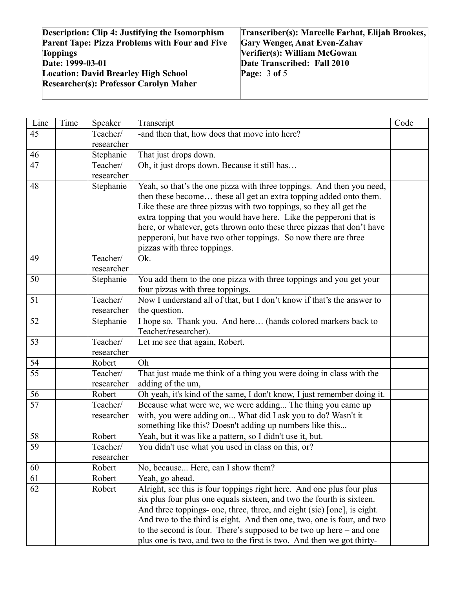| <b>Description: Clip 4: Justifying the Isomorphism</b> | Transcriber(s): Marcelle Farhat, Elijah Brookes, |
|--------------------------------------------------------|--------------------------------------------------|
| <b>Parent Tape: Pizza Problems with Four and Five</b>  | <b>Gary Wenger, Anat Even-Zahav</b>              |
| <b>Toppings</b>                                        | Verifier(s): William McGowan                     |
| Date: 1999-03-01                                       | Date Transcribed: Fall 2010                      |
| <b>Location: David Brearley High School</b>            | Page: $3$ of $5$                                 |
| <b>Researcher(s): Professor Carolyn Maher</b>          |                                                  |
|                                                        |                                                  |

| Line            | Time | Speaker    | Transcript                                                                            | Code |
|-----------------|------|------------|---------------------------------------------------------------------------------------|------|
| 45              |      | Teacher/   | -and then that, how does that move into here?                                         |      |
|                 |      | researcher |                                                                                       |      |
| 46              |      | Stephanie  | That just drops down.                                                                 |      |
| 47              |      | Teacher/   | Oh, it just drops down. Because it still has                                          |      |
|                 |      | researcher |                                                                                       |      |
| 48              |      | Stephanie  | Yeah, so that's the one pizza with three toppings. And then you need,                 |      |
|                 |      |            | then these become these all get an extra topping added onto them.                     |      |
|                 |      |            | Like these are three pizzas with two toppings, so they all get the                    |      |
|                 |      |            | extra topping that you would have here. Like the pepperoni that is                    |      |
|                 |      |            | here, or whatever, gets thrown onto these three pizzas that don't have                |      |
|                 |      |            | pepperoni, but have two other toppings. So now there are three                        |      |
|                 |      |            | pizzas with three toppings.                                                           |      |
| 49              |      | Teacher/   | Ok.                                                                                   |      |
|                 |      | researcher |                                                                                       |      |
| 50              |      | Stephanie  | You add them to the one pizza with three toppings and you get your                    |      |
|                 |      |            | four pizzas with three toppings.                                                      |      |
| 51              |      | Teacher/   | Now I understand all of that, but I don't know if that's the answer to                |      |
|                 |      | researcher | the question.                                                                         |      |
| 52              |      | Stephanie  | I hope so. Thank you. And here (hands colored markers back to<br>Teacher/researcher). |      |
| 53              |      | Teacher/   | Let me see that again, Robert.                                                        |      |
|                 |      | researcher |                                                                                       |      |
| 54              |      | Robert     | Oh                                                                                    |      |
| $\overline{55}$ |      | Teacher/   | That just made me think of a thing you were doing in class with the                   |      |
|                 |      | researcher | adding of the um,                                                                     |      |
| 56              |      | Robert     | Oh yeah, it's kind of the same, I don't know, I just remember doing it.               |      |
| $\overline{57}$ |      | Teacher/   | Because what were we, we were adding The thing you came up                            |      |
|                 |      | researcher | with, you were adding on What did I ask you to do? Wasn't it                          |      |
|                 |      |            | something like this? Doesn't adding up numbers like this                              |      |
| 58              |      | Robert     | Yeah, but it was like a pattern, so I didn't use it, but.                             |      |
| 59              |      | Teacher/   | You didn't use what you used in class on this, or?                                    |      |
|                 |      | researcher |                                                                                       |      |
| 60              |      | Robert     | No, because Here, can I show them?                                                    |      |
| 61              |      | Robert     | Yeah, go ahead.                                                                       |      |
| 62              |      | Robert     | Alright, see this is four toppings right here. And one plus four plus                 |      |
|                 |      |            | six plus four plus one equals sixteen, and two the fourth is sixteen.                 |      |
|                 |      |            | And three toppings- one, three, three, and eight (sic) [one], is eight.               |      |
|                 |      |            | And two to the third is eight. And then one, two, one is four, and two                |      |
|                 |      |            | to the second is four. There's supposed to be two up here $-$ and one                 |      |
|                 |      |            | plus one is two, and two to the first is two. And then we got thirty-                 |      |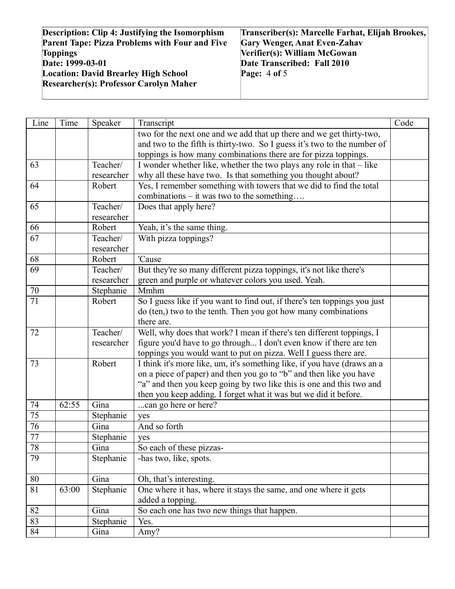| <b>Description: Clip 4: Justifying the Isomorphism</b> | Transcriber(s): Marcelle Farhat, Elijah Brookes, |
|--------------------------------------------------------|--------------------------------------------------|
| <b>Parent Tape: Pizza Problems with Four and Five</b>  | <b>Gary Wenger, Anat Even-Zahav</b>              |
| <b>Toppings</b>                                        | Verifier(s): William McGowan                     |
| Date: 1999-03-01                                       | Date Transcribed: Fall 2010                      |
| <b>Location: David Brearley High School</b>            | Page: $4$ of 5                                   |
| <b>Researcher(s): Professor Carolyn Maher</b>          |                                                  |
|                                                        |                                                  |

| Line            | Time  | Speaker    | Transcript                                                                | Code |
|-----------------|-------|------------|---------------------------------------------------------------------------|------|
|                 |       |            | two for the next one and we add that up there and we get thirty-two,      |      |
|                 |       |            | and two to the fifth is thirty-two. So I guess it's two to the number of  |      |
|                 |       |            | toppings is how many combinations there are for pizza toppings.           |      |
| 63              |       | Teacher/   | I wonder whether like, whether the two plays any role in that - like      |      |
|                 |       | researcher | why all these have two. Is that something you thought about?              |      |
| 64              |       | Robert     | Yes, I remember something with towers that we did to find the total       |      |
|                 |       |            | combinations – it was two to the something                                |      |
| 65              |       | Teacher/   | Does that apply here?                                                     |      |
|                 |       | researcher |                                                                           |      |
| 66              |       | Robert     | Yeah, it's the same thing.                                                |      |
| 67              |       | Teacher/   | With pizza toppings?                                                      |      |
|                 |       | researcher |                                                                           |      |
| 68              |       | Robert     | 'Cause                                                                    |      |
| 69              |       | Teacher/   | But they're so many different pizza toppings, it's not like there's       |      |
|                 |       | researcher | green and purple or whatever colors you used. Yeah.                       |      |
| $70\,$          |       | Stephanie  | Mmhm                                                                      |      |
| $\overline{71}$ |       | Robert     | So I guess like if you want to find out, if there's ten toppings you just |      |
|                 |       |            | do (ten,) two to the tenth. Then you got how many combinations            |      |
|                 |       |            | there are.                                                                |      |
| 72              |       | Teacher/   | Well, why does that work? I mean if there's ten different toppings, I     |      |
|                 |       | researcher | figure you'd have to go through I don't even know if there are ten        |      |
|                 |       |            | toppings you would want to put on pizza. Well I guess there are.          |      |
| 73              |       | Robert     | I think it's more like, um, it's something like, if you have (draws an a  |      |
|                 |       |            | on a piece of paper) and then you go to "b" and then like you have        |      |
|                 |       |            | "a" and then you keep going by two like this is one and this two and      |      |
|                 |       |            | then you keep adding. I forget what it was but we did it before.          |      |
| 74              | 62:55 | Gina       | can go here or here?                                                      |      |
| $\overline{75}$ |       | Stephanie  | yes                                                                       |      |
| 76              |       | Gina       | And so forth                                                              |      |
| 77              |       | Stephanie  | yes                                                                       |      |
| $78\,$          |       | Gina       | So each of these pizzas-                                                  |      |
| 79              |       | Stephanie  | -has two, like, spots.                                                    |      |
| 80              |       | Gina       | Oh, that's interesting.                                                   |      |
| 81              | 63:00 | Stephanie  | One where it has, where it stays the same, and one where it gets          |      |
|                 |       |            | added a topping.                                                          |      |
| 82              |       | Gina       | So each one has two new things that happen.                               |      |
| 83              |       | Stephanie  | Yes.                                                                      |      |
| 84              |       | Gina       | Amy?                                                                      |      |